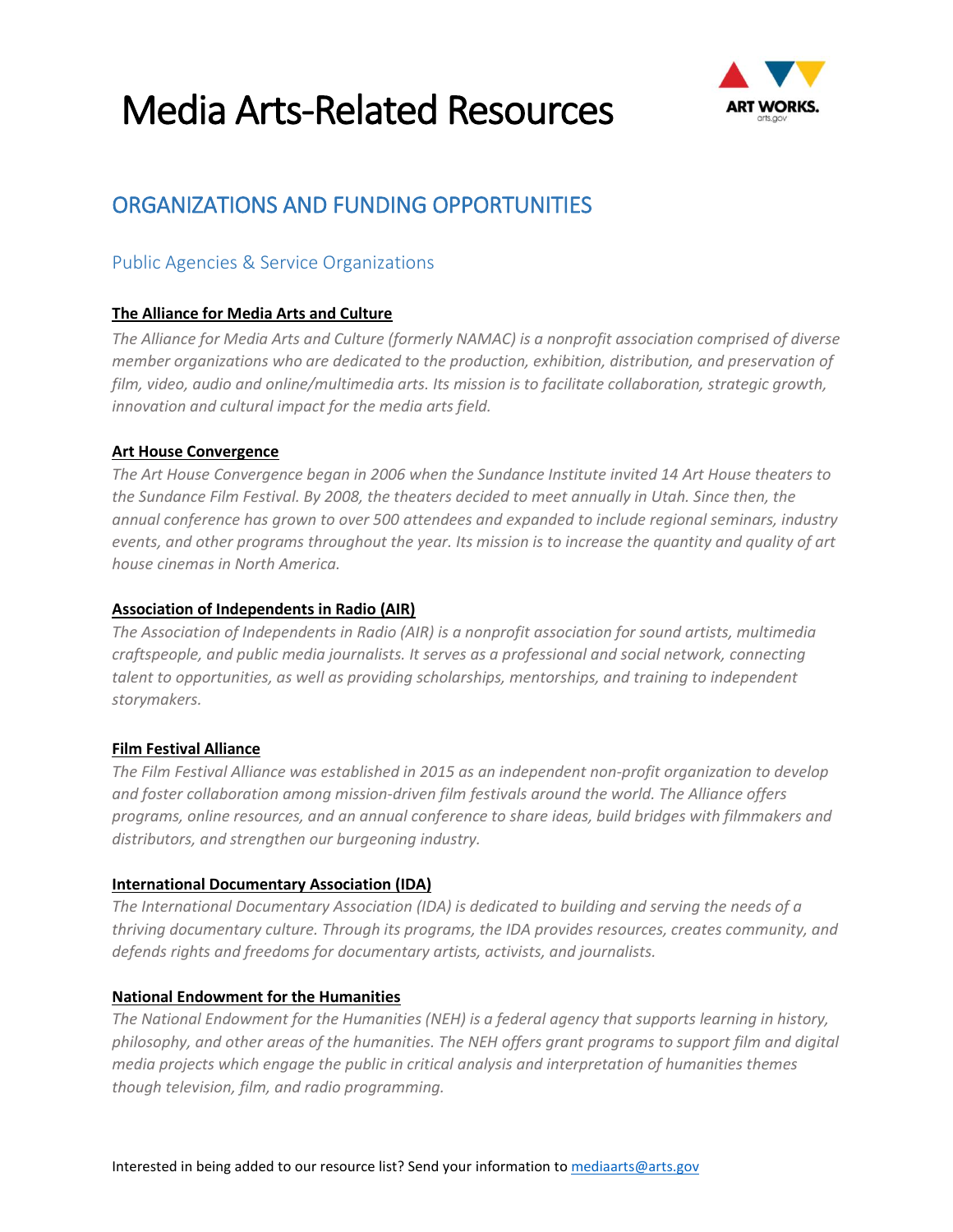

### ORGANIZATIONS AND FUNDING OPPORTUNITIES

### Public Agencies & Service Organizations

#### **[The Alliance for Media Arts and Culture](http://www.thealliance.media/)**

*The Alliance for Media Arts and Culture (formerly NAMAC) is a nonprofit association comprised of diverse member organizations who are dedicated to the production, exhibition, distribution, and preservation of film, video, audio and online/multimedia arts. Its mission is to facilitate collaboration, strategic growth, innovation and cultural impact for the media arts field.*

#### **[Art House Convergence](http://www.arthouseconvergence.org/)**

*The Art House Convergence began in 2006 when the Sundance Institute invited 14 Art House theaters to the Sundance Film Festival. By 2008, the theaters decided to meet annually in Utah. Since then, the annual conference has grown to over 500 attendees and expanded to include regional seminars, industry events, and other programs throughout the year. Its mission is to increase the quantity and quality of art house cinemas in North America.*

#### **[Association of Independents in Radio](http://www.airmedia.org/) (AIR)**

*The Association of Independents in Radio (AIR) is a nonprofit association for sound artists, multimedia craftspeople, and public media journalists. It serves as a professional and social network, connecting talent to opportunities, as well as providing scholarships, mentorships, and training to independent storymakers.*

#### **[Film Festival Alliance](http://filmfestivalalliance.org/)**

*The Film Festival Alliance was established in 2015 as an independent non-profit organization to develop and foster collaboration among mission-driven film festivals around the world. The Alliance offers programs, online resources, and an annual conference to share ideas, build bridges with filmmakers and distributors, and strengthen our burgeoning industry.*

#### **[International Documentary Association](http://www.documentary.org/) (IDA)**

*The International Documentary Association (IDA) is dedicated to building and serving the needs of a thriving documentary culture. Through its programs, the IDA provides resources, creates community, and defends rights and freedoms for documentary artists, activists, and journalists.*

#### **[National Endowment for the Humanities](http://www.neh.gov/)**

*The National Endowment for the Humanities (NEH) is a federal agency that supports learning in history, philosophy, and other areas of the humanities. The NEH offers grant programs to support film and digital media projects which engage the public in critical analysis and interpretation of humanities themes though television, film, and radio programming.*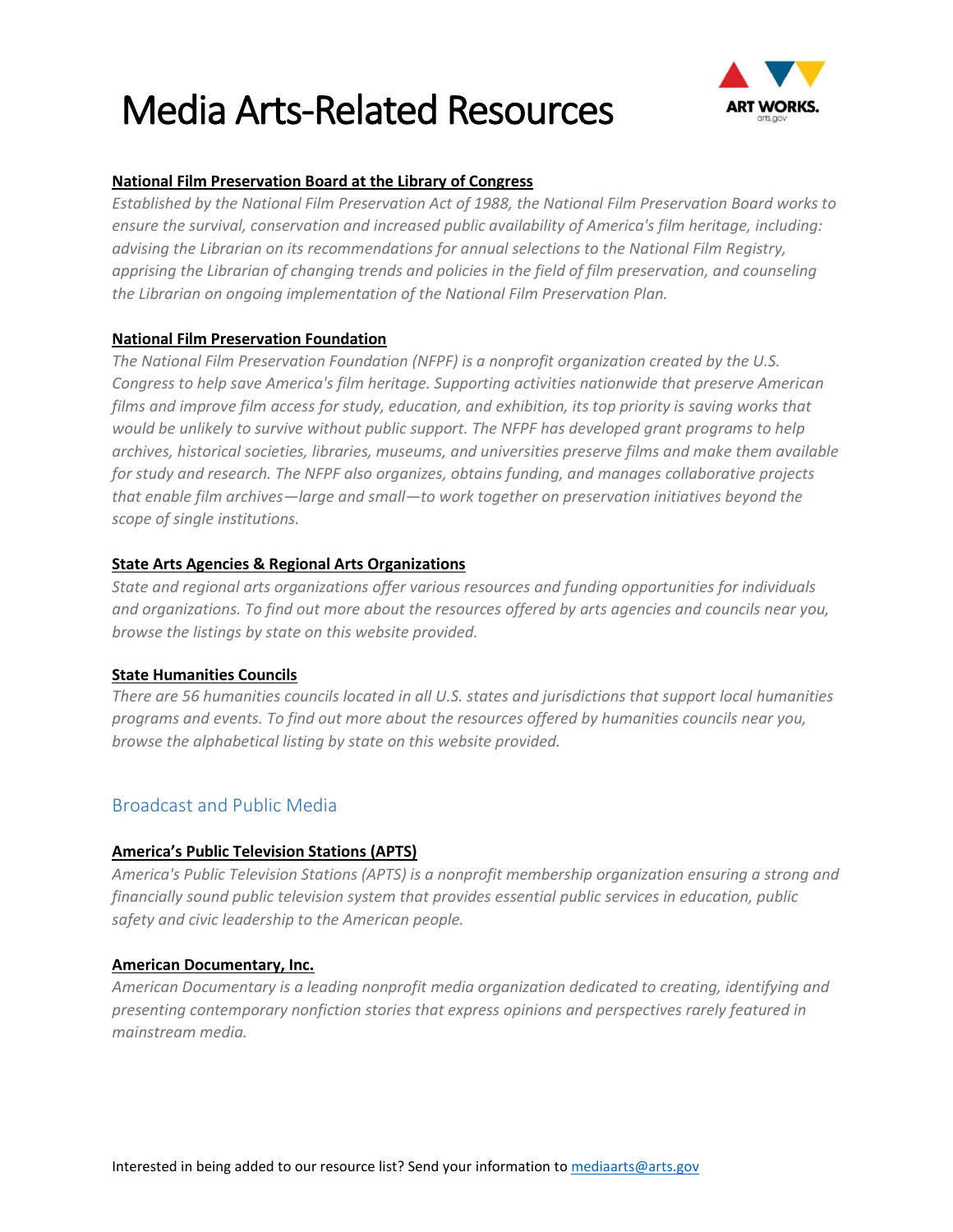

#### **[National Film Preservation Board at the Library of Congress](https://www.loc.gov/programs/national-film-preservation-board/film-registry/)**

*Established by the National Film Preservation Act of 1988, the National Film Preservation Board works to ensure the survival, conservation and increased public availability of America's film heritage, including: advising the Librarian on its recommendations for annual selections to the National Film Registry, apprising the Librarian of changing trends and policies in the field of film preservation, and counseling the Librarian on ongoing implementation of the National Film Preservation Plan.*

#### **[National Film Preservation Foundation](http://www.filmpreservation.org/)**

*The National Film Preservation Foundation (NFPF) is a nonprofit organization created by the U.S. Congress to help save America's film heritage. Supporting activities nationwide that preserve American films and improve film access for study, education, and exhibition, its top priority is saving works that would be unlikely to survive without public support. The NFPF has developed grant programs to help archives, historical societies, libraries, museums, and universities preserve films and make them available for study and research. The NFPF also organizes, obtains funding, and manages collaborative projects that enable film archives—large and small—to work together on preservation initiatives beyond the scope of single institutions.*

#### **[State Arts Agencies & Regional Arts Organizations](https://www.arts.gov/partners/state-regional)**

*State and regional arts organizations offer various resources and funding opportunities for individuals and organizations. To find out more about the resources offered by arts agencies and councils near you, browse the listings by state on this website provided.*

#### **[State Humanities Councils](https://www.neh.gov/about/state-humanities-councils)**

*There are 56 humanities councils located in all U.S. states and jurisdictions that support local humanities programs and events. To find out more about the resources offered by humanities councils near you, browse the alphabetical listing by state on this website provided.*

#### Broadcast and Public Media

#### **America's [Public Television Stations](http://www.apts.org/) (APTS)**

*America's Public Television Stations (APTS) is a nonprofit membership organization ensuring a strong and financially sound public television system that provides essential public services in education, public safety and civic leadership to the American people.* 

#### **[American Documentary, Inc.](http://www.amdoc.org/)**

*American Documentary is a leading nonprofit media organization dedicated to creating, identifying and presenting contemporary nonfiction stories that express opinions and perspectives rarely featured in mainstream media.*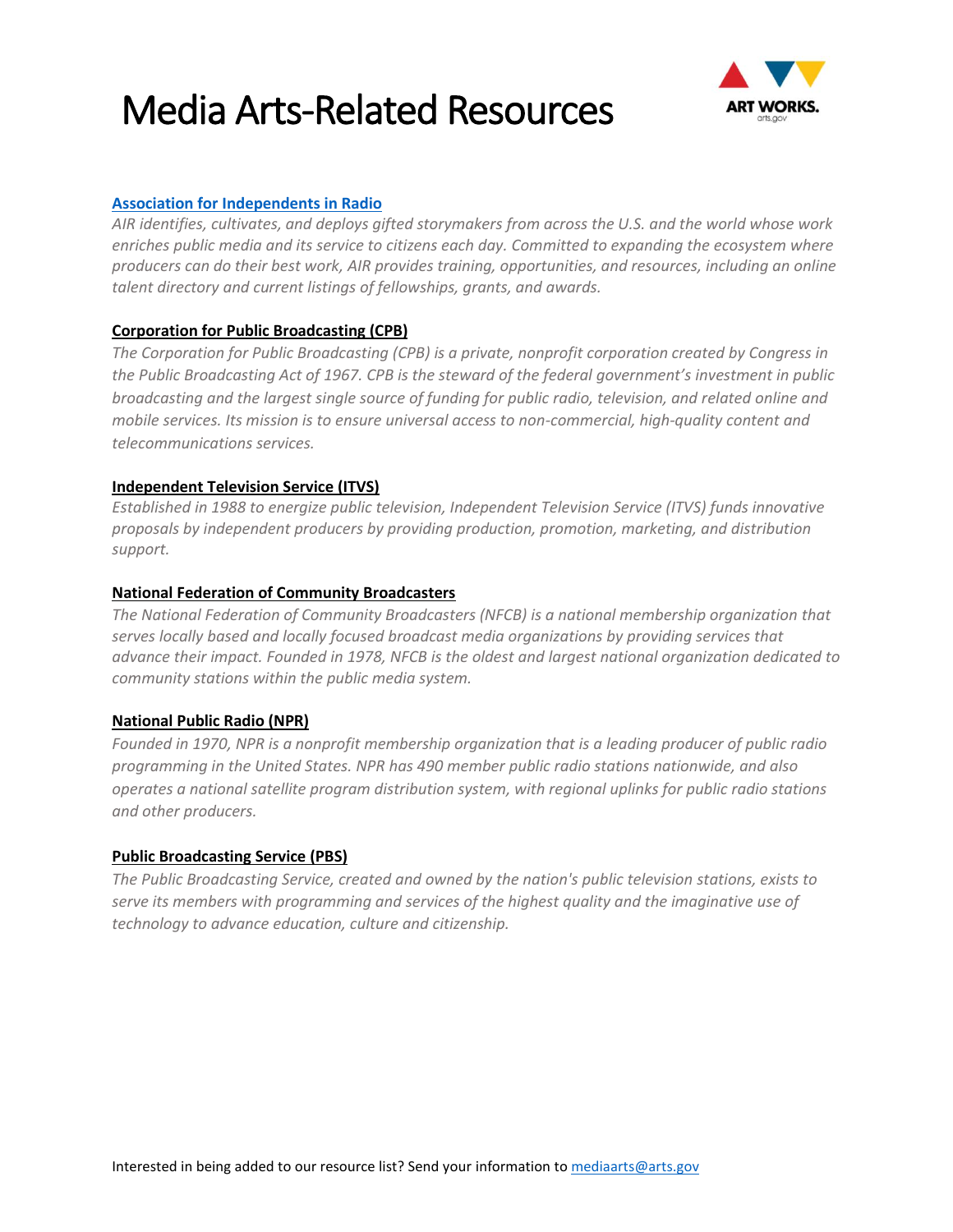

#### **[Association for Independents in Radio](https://airmedia.org/resources/)**

*AIR identifies, cultivates, and deploys gifted storymakers from across the U.S. and the world whose work enriches public media and its service to citizens each day. Committed to expanding the ecosystem where producers can do their best work, AIR provides training, opportunities, and resources, including an online talent directory and current listings of fellowships, grants, and awards.* 

#### **[Corporation for Public Broadcasting](http://www.cpb.org/) (CPB)**

*The Corporation for Public Broadcasting (CPB) is a private, nonprofit corporation created by Congress in the Public Broadcasting Act of 1967. CPB is the steward of the federal government's investment in public broadcasting and the largest single source of funding for public radio, television, and related online and mobile services. Its mission is to ensure universal access to non-commercial, high-quality content and telecommunications services.* 

#### **[Independent Television Service](http://www.itvs.org/) (ITVS)**

*Established in 1988 to energize public television, Independent Television Service (ITVS) funds innovative proposals by independent producers by providing production, promotion, marketing, and distribution support.*

#### **[National Federation of Community Broadcasters](http://www.nfcb.org/)**

*The National Federation of Community Broadcasters (NFCB) is a national membership organization that serves locally based and locally focused broadcast media organizations by providing services that advance their impact. Founded in 1978, NFCB is the oldest and largest national organization dedicated to community stations within the public media system.* 

#### **[National Public Radio](http://www.npr.org/) (NPR)**

*Founded in 1970, NPR is a nonprofit membership organization that is a leading producer of public radio programming in the United States. NPR has 490 member public radio stations nationwide, and also operates a national satellite program distribution system, with regional uplinks for public radio stations and other producers.*

#### **[Public Broadcasting Service](http://www.pbs.org/) (PBS)**

*The Public Broadcasting Service, created and owned by the nation's public television stations, exists to serve its members with programming and services of the highest quality and the imaginative use of technology to advance education, culture and citizenship.*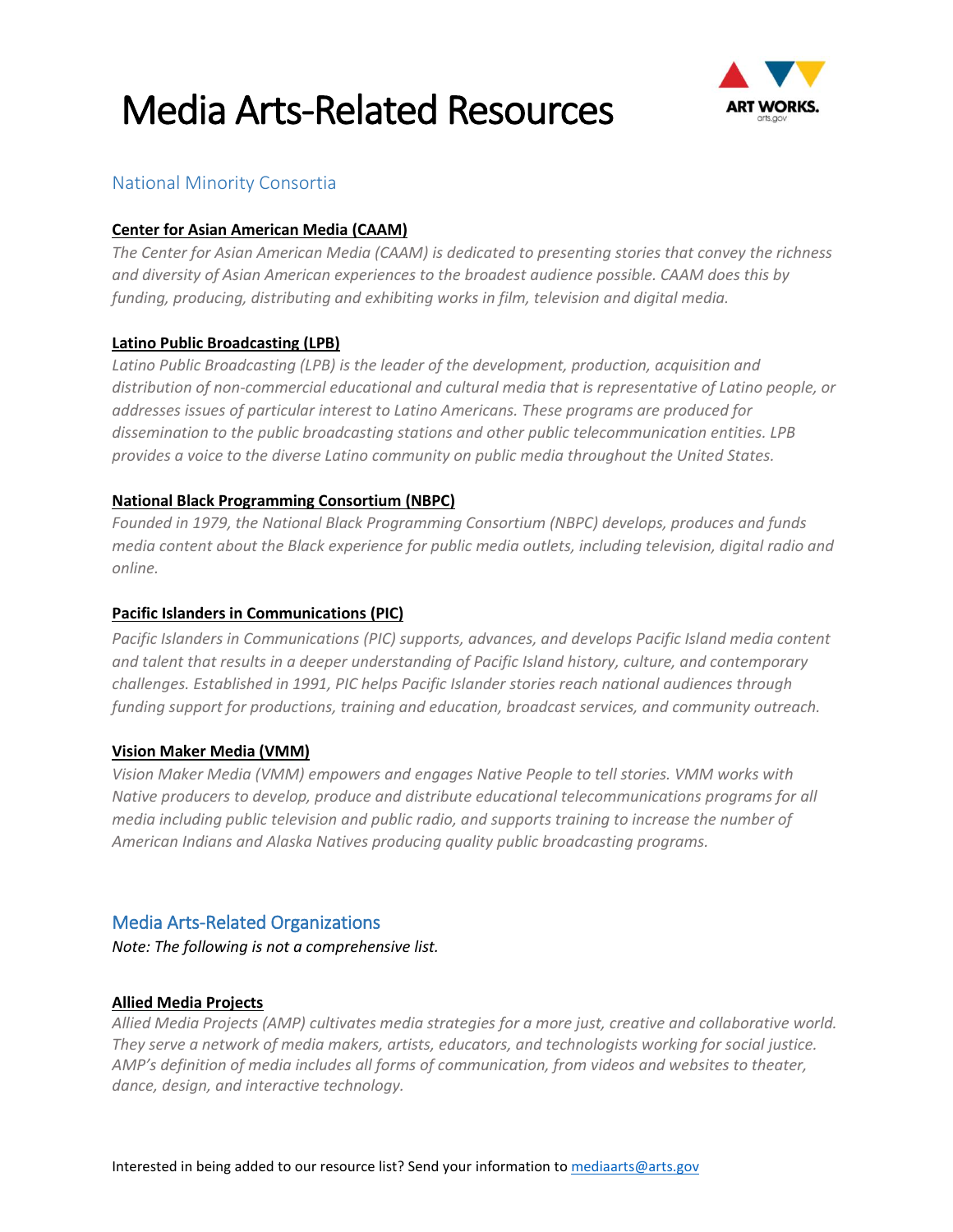

### National Minority Consortia

#### **[Center for Asian American Media](http://caamedia.org/) (CAAM)**

*The Center for Asian American Media (CAAM) is dedicated to presenting stories that convey the richness and diversity of Asian American experiences to the broadest audience possible. CAAM does this by funding, producing, distributing and exhibiting works in film, television and digital media.*

#### **[Latino Public Broadcasting](http://lpbp.org/) (LPB)**

*Latino Public Broadcasting (LPB) is the leader of the development, production, acquisition and distribution of non-commercial educational and cultural media that is representative of Latino people, or addresses issues of particular interest to Latino Americans. These programs are produced for dissemination to the public broadcasting stations and other public telecommunication entities. LPB provides a voice to the diverse Latino community on public media throughout the United States.*

#### **[National Black Programming Consortium](http://blackpublicmedia.org/) (NBPC)**

*Founded in 1979, the National Black Programming Consortium (NBPC) develops, produces and funds media content about the Black experience for public media outlets, including television, digital radio and online.*

#### **[Pacific Islanders in Communications](http://www.piccom.org/) (PIC)**

*Pacific Islanders in Communications (PIC) supports, advances, and develops Pacific Island media content and talent that results in a deeper understanding of Pacific Island history, culture, and contemporary challenges. Established in 1991, PIC helps Pacific Islander stories reach national audiences through funding support for productions, training and education, broadcast services, and community outreach.*

#### **[Vision Maker Media](http://www.visionmakermedia.org/) (VMM)**

*Vision Maker Media (VMM) empowers and engages Native People to tell stories. VMM works with Native producers to develop, produce and distribute educational telecommunications programs for all media including public television and public radio, and supports training to increase the number of American Indians and Alaska Natives producing quality public broadcasting programs.*

#### Media Arts-Related Organizations

*Note: The following is not a comprehensive list.*

#### **[Allied Media Projects](https://www.alliedmedia.org/)**

*Allied Media Projects (AMP) cultivates media strategies for a more just, creative and collaborative world. They serve a network of media makers, artists, educators, and technologists working for social justice. AMP's definition of media includes all forms of communication, from videos and websites to theater, dance, design, and interactive technology.*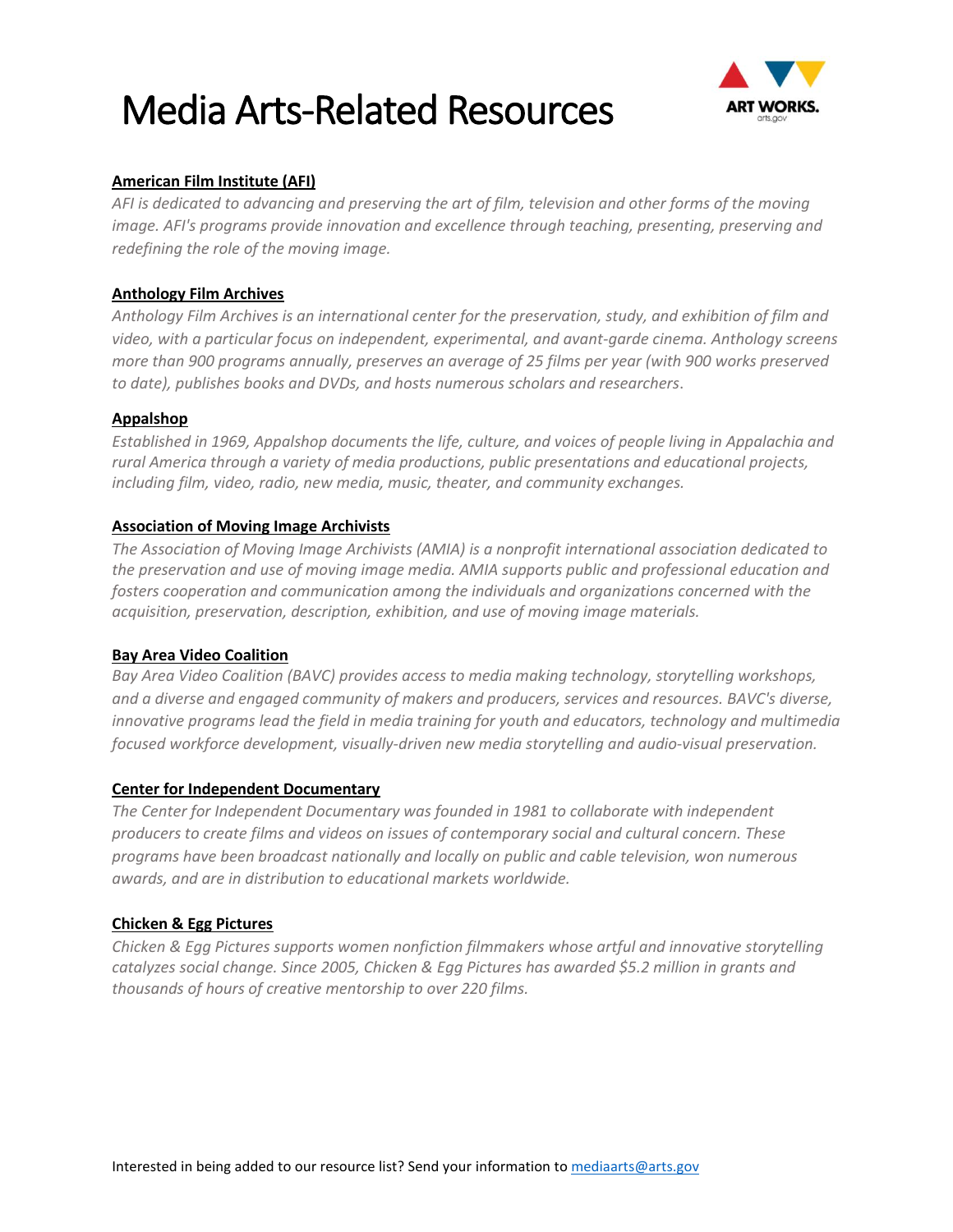

#### **[American Film Institute](http://www.afi.com/) (AFI)**

*AFI is dedicated to advancing and preserving the art of film, television and other forms of the moving image. AFI's programs provide innovation and excellence through teaching, presenting, preserving and redefining the role of the moving image.*

#### **[Anthology Film Archives](http://anthologyfilmarchives.org/)**

*Anthology Film Archives is an international center for the preservation, study, and exhibition of film and video, with a particular focus on independent, experimental, and avant-garde cinema. Anthology screens more than 900 programs annually, preserves an average of 25 films per year (with 900 works preserved to date), publishes books and DVDs, and hosts numerous scholars and researchers*.

#### **[Appalshop](https://www.appalshop.org/)**

*Established in 1969, Appalshop documents the life, culture, and voices of people living in Appalachia and rural America through a variety of media productions, public presentations and educational projects, including film, video, radio, new media, music, theater, and community exchanges.*

#### **[Association of Moving Image Archivists](http://www.amianet.org/)**

*The Association of Moving Image Archivists (AMIA) is a nonprofit international association dedicated to the preservation and use of moving image media. AMIA supports public and professional education and fosters cooperation and communication among the individuals and organizations concerned with the acquisition, preservation, description, exhibition, and use of moving image materials.*

#### **[Bay Area Video Coalition](http://www.bavc.org/)**

*Bay Area Video Coalition (BAVC) provides access to media making technology, storytelling workshops, and a diverse and engaged community of makers and producers, services and resources. BAVC's diverse, innovative programs lead the field in media training for youth and educators, technology and multimedia focused workforce development, visually-driven new media storytelling and audio-visual preservation.*

#### **[Center for Independent Documentary](http://documentaries.org/)**

*The Center for Independent Documentary was founded in 1981 to collaborate with independent producers to create films and videos on issues of contemporary social and cultural concern. These programs have been broadcast nationally and locally on public and cable television, won numerous awards, and are in distribution to educational markets worldwide.*

#### **[Chicken & Egg Pictures](http://chickeneggpics.org/)**

*Chicken & Egg Pictures supports women nonfiction filmmakers whose artful and innovative storytelling catalyzes social change. Since 2005, Chicken & Egg Pictures has awarded \$5.2 million in grants and thousands of hours of creative mentorship to over 220 films.*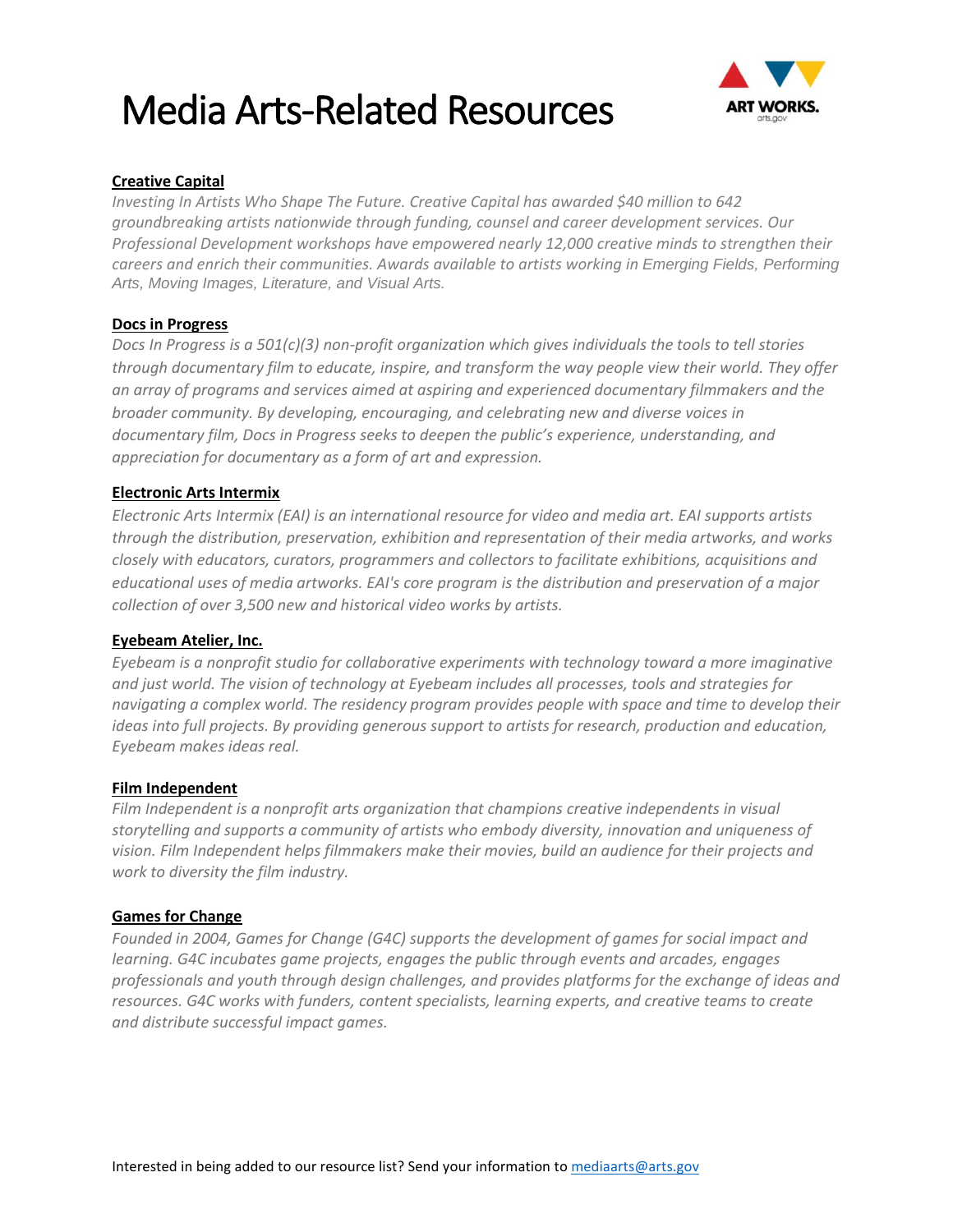

#### **[Creative Capital](https://www.creative-capital.org/)**

*Investing In Artists Who Shape The Future. Creative Capital has awarded \$40 million to 642 groundbreaking artists nationwide through funding, counsel and career development services. Our Professional Development workshops have empowered nearly 12,000 creative minds to strengthen their careers and enrich their communities. Awards available to artists working in Emerging Fields, Performing Arts, Moving Images, Literature, and Visual Arts.*

#### **[Docs in Progress](http://www.docsinprogress.org/)**

*Docs In Progress is a 501(c)(3) non-profit organization which gives individuals the tools to tell stories through documentary film to educate, inspire, and transform the way people view their world. They offer an array of programs and services aimed at aspiring and experienced documentary filmmakers and the broader community. By developing, encouraging, and celebrating new and diverse voices in documentary film, Docs in Progress seeks to deepen the public's experience, understanding, and appreciation for documentary as a form of art and expression.*

#### **[Electronic Arts Intermix](https://www.eai.org/)**

*Electronic Arts Intermix (EAI) is an international resource for video and media art. EAI supports artists through the distribution, preservation, exhibition and representation of their media artworks, and works closely with educators, curators, programmers and collectors to facilitate exhibitions, acquisitions and educational uses of media artworks. EAI's core program is the distribution and preservation of a major collection of over 3,500 new and historical video works by artists.*

#### **[Eyebeam Atelier, Inc.](https://eyebeam.org/)**

*Eyebeam is a nonprofit studio for collaborative experiments with technology toward a more imaginative and just world. The vision of technology at Eyebeam includes all processes, tools and strategies for navigating a complex world. The residency program provides people with space and time to develop their ideas into full projects. By providing generous support to artists for research, production and education, Eyebeam makes ideas real.*

#### **[Film Independent](https://www.filmindependent.org/)**

*Film Independent is a nonprofit arts organization that champions creative independents in visual storytelling and supports a community of artists who embody diversity, innovation and uniqueness of vision. Film Independent helps filmmakers make their movies, build an audience for their projects and work to diversity the film industry.* 

#### **[Games for Change](http://www.gamesforchange.org/)**

*Founded in 2004, Games for Change (G4C) supports the development of games for social impact and learning. G4C incubates game projects, engages the public through events and arcades, engages professionals and youth through design challenges, and provides platforms for the exchange of ideas and resources. G4C works with funders, content specialists, learning experts, and creative teams to create and distribute successful impact games.*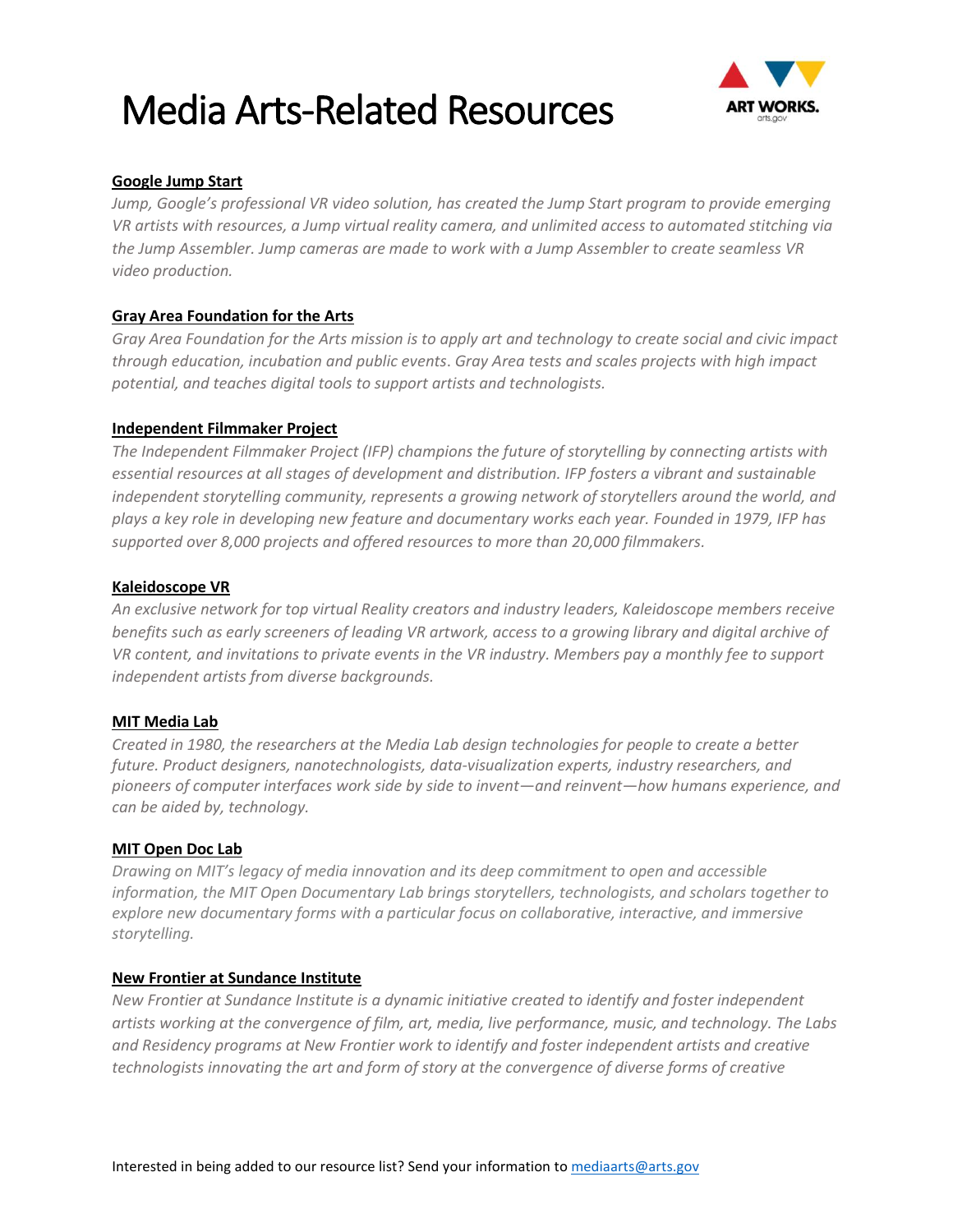

#### **Google Jump Start**

*Jump, Google's professional VR video solution, has created the Jump Start program to provide emerging VR artists with resources, a Jump virtual reality camera, and unlimited access to automated stitching via the Jump Assembler. Jump cameras are made to work with a Jump Assembler to create seamless VR video production.*

#### **[Gray Area Foundation for the Arts](http://grayarea.org/)**

*Gray Area Foundation for the Arts mission is to apply art and technology to create social and civic impact through education, incubation and public events*. *Gray Area tests and scales projects with high impact potential, and teaches digital tools to support artists and technologists.*

#### **[Independent Filmmaker Project](http://www.ifp.org/)**

*The Independent Filmmaker Project (IFP) champions the future of storytelling by connecting artists with essential resources at all stages of development and distribution. IFP fosters a vibrant and sustainable independent storytelling community, represents a growing network of storytellers around the world, and plays a key role in developing new feature and documentary works each year. Founded in 1979, IFP has supported over 8,000 projects and offered resources to more than 20,000 filmmakers.*

#### **Kaleidoscope VR**

*An exclusive network for top virtual Reality creators and industry leaders, Kaleidoscope members receive benefits such as early screeners of leading VR artwork, access to a growing library and digital archive of VR content, and invitations to private events in the VR industry. Members pay a monthly fee to support independent artists from diverse backgrounds.* 

#### **[MIT Media Lab](https://www.media.mit.edu/)**

*Created in 1980, the researchers at the Media Lab design technologies for people to create a better future. Product designers, nanotechnologists, data-visualization experts, industry researchers, and pioneers of computer interfaces work side by side to invent—and reinvent—how humans experience, and can be aided by, technology.*

#### **[MIT Open Doc Lab](http://opendoclab.mit.edu/)**

*Drawing on MIT's legacy of media innovation and its deep commitment to open and accessible information, the MIT Open Documentary Lab brings storytellers, technologists, and scholars together to explore new documentary forms with a particular focus on collaborative, interactive, and immersive storytelling.*

#### **[New Frontier at Sundance Institute](http://www.sundance.org/programs/new-frontier)**

*New Frontier at Sundance Institute is a dynamic initiative created to identify and foster independent artists working at the convergence of film, art, media, live performance, music, and technology. The Labs and Residency programs at New Frontier work to identify and foster independent artists and creative technologists innovating the art and form of story at the convergence of diverse forms of creative*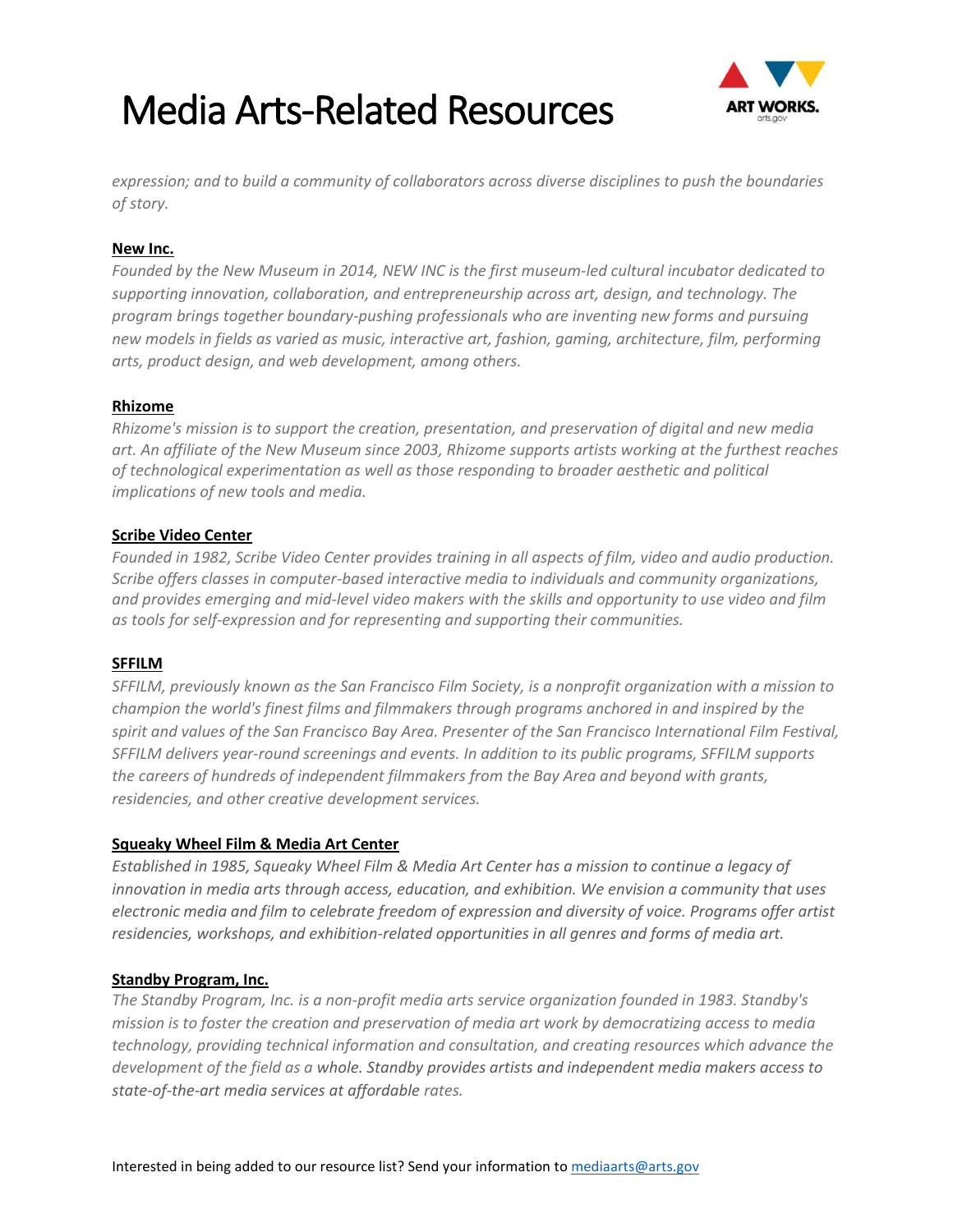

*expression; and to build a community of collaborators across diverse disciplines to push the boundaries of story.*

#### **[New Inc.](http://www.newinc.org/)**

*Founded by the New Museum in 2014, NEW INC is the first museum-led cultural incubator dedicated to supporting innovation, collaboration, and entrepreneurship across art, design, and technology. The program brings together boundary-pushing professionals who are inventing new forms and pursuing new models in fields as varied as music, interactive art, fashion, gaming, architecture, film, performing arts, product design, and web development, among others.*

#### **[Rhizome](http://rhizome.org/programs/)**

*Rhizome's mission is to support the creation, presentation, and preservation of digital and new media art. An affiliate of the New Museum since 2003, Rhizome supports artists working at the furthest reaches of technological experimentation as well as those responding to broader aesthetic and political implications of new tools and media.*

#### **[Scribe Video Center](http://www.scribe.org/)**

*Founded in 1982, Scribe Video Center provides training in all aspects of film, video and audio production. Scribe offers classes in computer-based interactive media to individuals and community organizations, and provides emerging and mid-level video makers with the skills and opportunity to use video and film as tools for self-expression and for representing and supporting their communities.*

#### **[SFFILM](http://www.sffs.org/)**

*SFFILM, previously known as the San Francisco Film Society, is a nonprofit organization with a mission to champion the world's finest films and filmmakers through programs anchored in and inspired by the spirit and values of the San Francisco Bay Area. Presenter of the San Francisco International Film Festival, SFFILM delivers year-round screenings and events. In addition to its public programs, SFFILM supports the careers of hundreds of independent filmmakers from the Bay Area and beyond with grants, residencies, and other creative development services.*

#### **[Squeaky Wheel Film & Media Art Center](http://www.squeaky.org/)**

*Established in 1985, Squeaky Wheel Film & Media Art Center has a mission to continue a legacy of innovation in media arts through access, education, and exhibition. We envision a community that uses electronic media and film to celebrate freedom of expression and diversity of voice. Programs offer artist residencies, workshops, and exhibition-related opportunities in all genres and forms of media art.*

#### **[Standby Program, Inc.](http://www.standby.org/standby/)**

*The Standby Program, Inc. is a non-profit media arts service organization founded in 1983. Standby's mission is to foster the creation and preservation of media art work by democratizing access to media technology, providing technical information and consultation, and creating resources which advance the development of the field as a whole. Standby provides artists and independent media makers access to state-of-the-art media services at affordable rates.*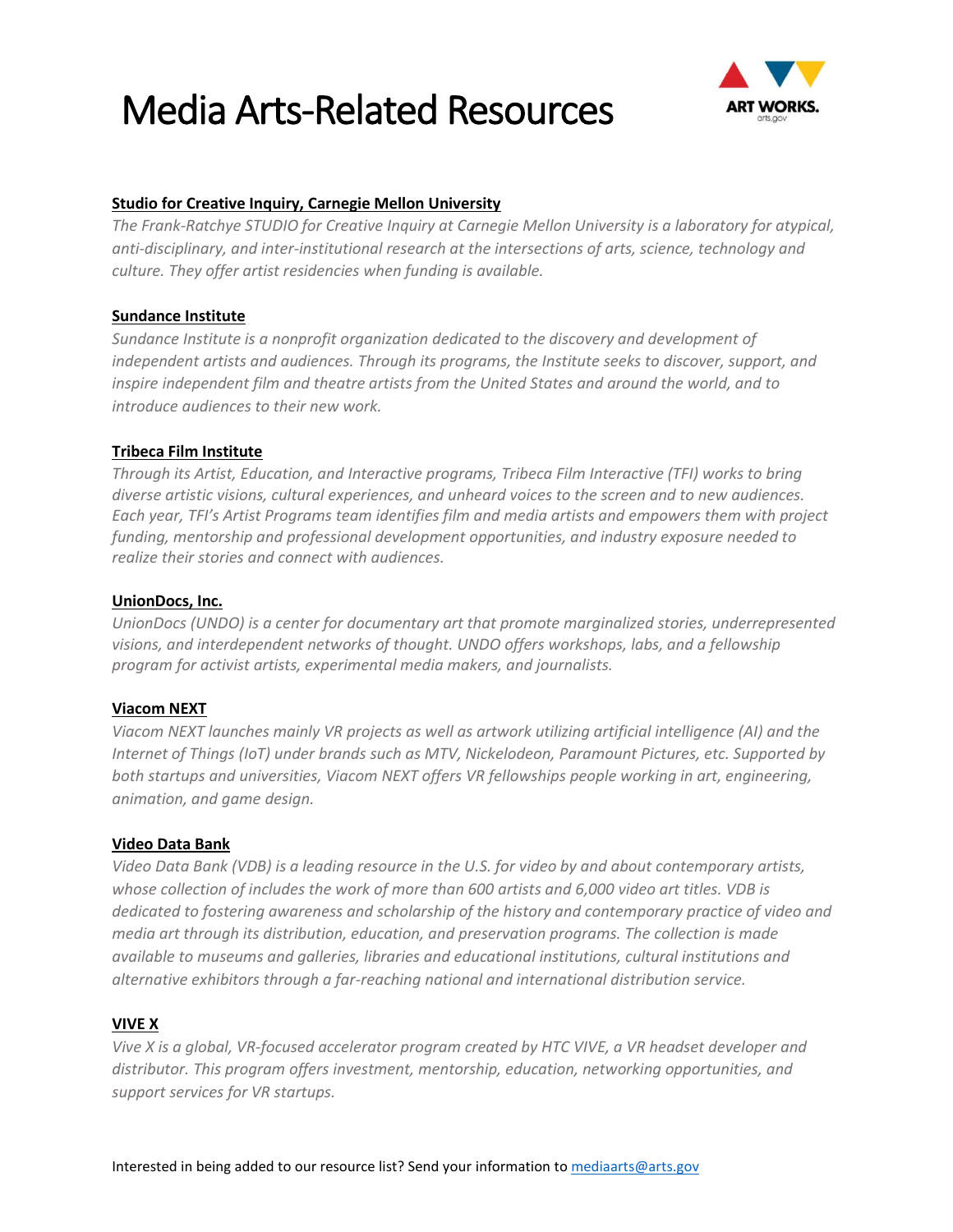

#### **[Studio for Creative Inquiry, Carnegie Mellon University](http://studioforcreativeinquiry.org/residencies)**

*The Frank-Ratchye STUDIO for Creative Inquiry at Carnegie Mellon University is a laboratory for atypical, anti-disciplinary, and inter-institutional research at the intersections of arts, science, technology and culture. They offer artist residencies when funding is available.*

#### **[Sundance Institute](http://www.sundance.org/)**

*Sundance Institute is a nonprofit organization dedicated to the discovery and development of independent artists and audiences. Through its programs, the Institute seeks to discover, support, and inspire independent film and theatre artists from the United States and around the world, and to introduce audiences to their new work.*

#### **[Tribeca Film Institute](https://tribecafilminstitute.org/)**

*Through its Artist, Education, and Interactive programs, Tribeca Film Interactive (TFI) works to bring diverse artistic visions, cultural experiences, and unheard voices to the screen and to new audiences. Each year, TFI's Artist Programs team identifies film and media artists and empowers them with project funding, mentorship and professional development opportunities, and industry exposure needed to realize their stories and connect with audiences.*

#### **[UnionDocs, Inc.](https://uniondocs.org/)**

*UnionDocs (UNDO) is a center for documentary art that promote marginalized stories, underrepresented visions, and interdependent networks of thought. UNDO offers workshops, labs, and a fellowship program for activist artists, experimental media makers, and journalists.* 

#### **Viacom NEXT**

*Viacom NEXT launches mainly VR projects as well as artwork utilizing artificial intelligence (AI) and the Internet of Things (IoT) under brands such as MTV, Nickelodeon, Paramount Pictures, etc. Supported by both startups and universities, Viacom NEXT offers VR fellowships people working in art, engineering, animation, and game design.* 

#### **[Video Data Bank](https://www.vdb.org/)**

*Video Data Bank (VDB) is a leading resource in the U.S. for video by and about contemporary artists, whose collection of includes the work of more than 600 artists and 6,000 video art titles. VDB is dedicated to fostering awareness and scholarship of the history and contemporary practice of video and media art through its distribution, education, and preservation programs. The collection is made available to museums and galleries, libraries and educational institutions, cultural institutions and alternative exhibitors through a far-reaching national and international distribution service.*

#### **VIVE X**

*Vive X is a global, VR-focused accelerator program created by HTC VIVE, a VR headset developer and distributor. This program offers investment, mentorship, education, networking opportunities, and support services for VR startups.*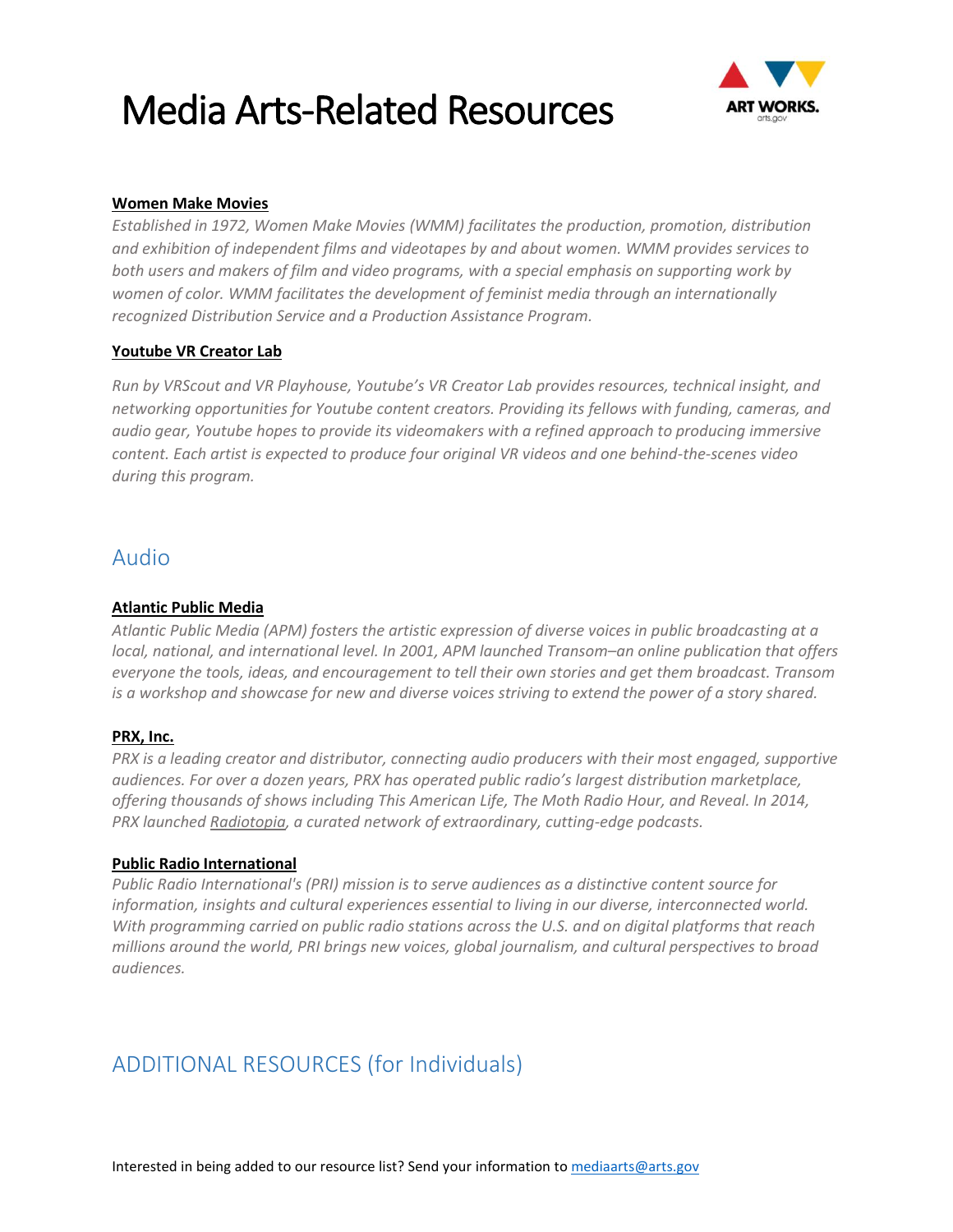

#### **[Women Make Movies](http://www.wmm.com/)**

*Established in 1972, Women Make Movies (WMM) facilitates the production, promotion, distribution and exhibition of independent films and videotapes by and about women. WMM provides services to both users and makers of film and video programs, with a special emphasis on supporting work by women of color. WMM facilitates the development of feminist media through an internationally recognized Distribution Service and a Production Assistance Program.* 

#### **Youtube VR Creator Lab**

*Run by VRScout and VR Playhouse, Youtube's VR Creator Lab provides resources, technical insight, and networking opportunities for Youtube content creators. Providing its fellows with funding, cameras, and audio gear, Youtube hopes to provide its videomakers with a refined approach to producing immersive content. Each artist is expected to produce four original VR videos and one behind-the-scenes video during this program.*

### Audio

#### **[Atlantic Public Media](http://atlantic.org/)**

*Atlantic Public Media (APM) fosters the artistic expression of diverse voices in public broadcasting at a local, national, and international level. In 2001, APM launched Transom–an online publication that offers everyone the tools, ideas, and encouragement to tell their own stories and get them broadcast. Transom is a workshop and showcase for new and diverse voices striving to extend the power of a story shared.*

#### **[PRX, Inc.](http://www.prx.org/)**

*PRX is a leading creator and distributor, connecting audio producers with their most engaged, supportive audiences. For over a dozen years, PRX has operated public radio's largest distribution marketplace, offering thousands of shows including This American Life, The Moth Radio Hour, and Reveal. In 2014, PRX launched [Radiotopia,](http://www.radiotopia.fm/) a curated network of extraordinary, cutting-edge podcasts.* 

#### **[Public Radio International](http://www.pri.org/)**

*Public Radio International's (PRI) mission is to serve audiences as a distinctive content source for information, insights and cultural experiences essential to living in our diverse, interconnected world. With programming carried on public radio stations across the U.S. and on digital platforms that reach millions around the world, PRI brings new voices, global journalism, and cultural perspectives to broad audiences.*

### ADDITIONAL RESOURCES (for Individuals)